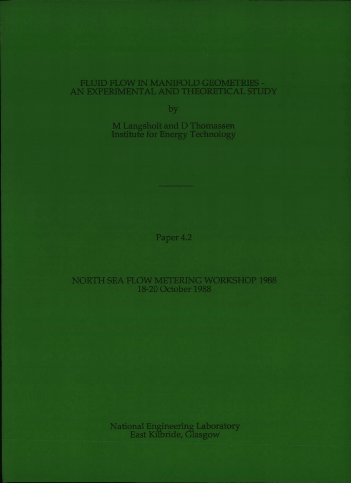# FLUID FLOW IN MANIFOLD GEOMETRIES -AN EXPERIMENTAL AND THEORETICAL STUDY

by

M Langsholt and D Thomassen **Institute for Energy Technology** 

Paper 4.2

# **NORTH SEA FLOW METERING WORKSHOP 1988** 18-20 October 1988

National Engineering Laboratory<br>East Kilbride, Glasgow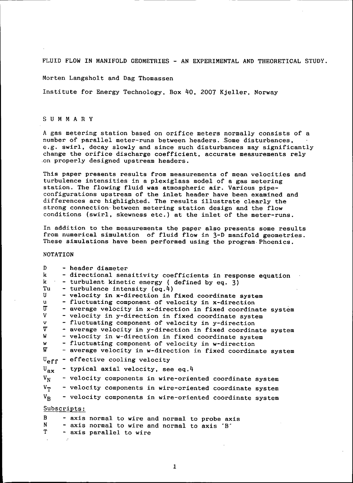FLUID FLOW IN MANIFOLD GEOMETRIES - AN EXPERIMENTAL AND THEORETICAL STUDY.

Morten Langsholt and Dag Thomassen

Institute for Energy Technology. Box 40. 2001 Kjeller. Norway

#### SUM MAR Y

A gas metering station based on orifice meters normally consists of a number of parallel meter-runs between headers. Some disturbances, e.g. swirl, decay slowly and since such disturbances may significantly change the orifice discharge coefficient. accurate measurements rely .on properly designed upstream headers.

This paper presents results from measurements of mean velocities and turbulence intensities in a plexiglass model of a gas metering station. The flowing fluid was atmospheric air. Various pipeconfigurations upstream of the inlet header have been examined and differences are highlighted. The results illustrate clearly the strong connection· between metering station design and the flow conditions (swirl, skewness etc.) at the inlet of the meter-runs.

In addition to the measurements the paper also presents some results from numerical simulation of fluid flow in 3-D manifold geometries. These simulations have been performed using the program·Phoenics.

NOTATION

| D                     |  | - header diameter                                            |
|-----------------------|--|--------------------------------------------------------------|
| k                     |  | - directional sensitivity coefficients in response equation  |
| k.                    |  | - turbulent kinetic energy ( defined by eq. 3)               |
| Tu                    |  | - turbulence intensity (eq.4)                                |
| U                     |  | - velocity in x-direction in fixed coordinate system         |
| u.                    |  | - fluctuating component of velocity in x-direction           |
| σ                     |  | - average velocity in x-direction in fixed coordinate system |
| V                     |  | - velocity in y-direction in fixed coordinate system         |
| $\mathbf{v}$          |  | - fluctuating component of velocity in y-direction           |
| $\boldsymbol{\nabla}$ |  | - average velocity in y-direction in fixed coordinate system |
| W                     |  | - velocity in w-direction in fixed coordinate system         |
| W                     |  | - fluctuating component of velocity in w-direction           |
| W.                    |  | - average velocity in w-direction in fixed coordinate system |
| $U_{\text{eff}}$      |  | - effective cooling velocity                                 |
| $U_{ax}$              |  | - typical axial velocity, see eq.4                           |
| $V_{N}$               |  | - velocity components in wire-oriented coordinate system     |
| $V_{\rm T}$           |  | - velocity components in wire-oriented coordinate system     |
| $V_{\mathbf{R}}$      |  | - velocity components in wire-oriented coordinate system     |
| Subscripts:           |  |                                                              |
| B.                    |  | - axis normal to wire and normal to probe axis               |
| N.                    |  | - axis normal to wire and normal to axis 'B'                 |
| T.                    |  | - axis parallel to wire                                      |
|                       |  |                                                              |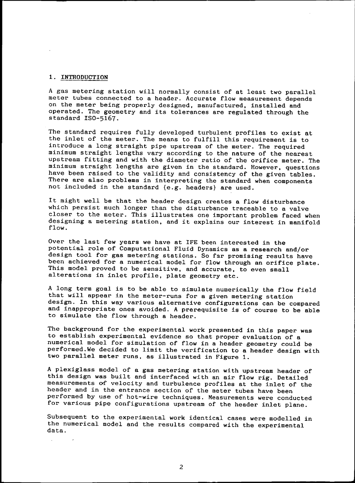# 1. <u>INTRODUCTION</u>

A gas metering station will normally consist of at least two parallel meter tubes connected to a header. Accurate flow measurement depends on the meter being properly designed, manufactured, installed and operated. The geometry and its tolerances are regulated through the standard 1S0-5167.

The standard requires fully developed turbulent profiles to exist at the inlet of the meter. The means to fulfill this requirement is to introduce a long straight pipe upstream of the meter. The required minimum straight lengths vary according to the nature of the nearest upstream fitting and with the diameter ratio of the orifice meter. The minimum straight lengths are given in the standard. However, questions have been raised to the validity and consistency of the given tables. There are also problems in interpreting the standard when components not included in the standard (e.g. headers) are used.

It might well be that the header design creates a flow disturbance which persist much longer than the disturbance traceable to a valve closer to the meter. This illustrates one important problem faced when deSigning a metering station. and it explains our interest in manifold flow.

Over the last few years we have at IFE been interested in the potential role of Computational Fluid Dynamics as a research and/or design tool for gas metering stations. So far promising results have been achieved for a numerical model for flow through an orifice plate. This model proved to be sensitive. and accurate, to even small alterations in inlet profile. plate geometry etc.

A long term goal is to be able to simulate numerically the flow field that will appear in the meter-runs for a given metering station design. In this way various alternative configurations can be compared and inappropriate ones avoided. A prerequisite is of course to be able to simulate the flow through a header.

The background for the experimental work presented in this paper was to establish experimental evidence so that proper evaluation of a numerical model for simulation of flow in a header geometry could be performed.We decided to limit the verification to a header design with two parallel meter runs, as illustrated in Figure 1.

A plexiglass model of a gas metering station with upstream header of this design was built and interfaced with an air flow rig. Detailed measurements of velocity and turbulence profiles at the inlet of the header and in the entrance section of the meter tubes have been performed by use of hot-wire techniques. Measurements were conducted for various pipe configurations upstream of the header inlet plane.

Subsequent to the experimental work identical cases were modelled in the numerical model and the results compared with the experimental data.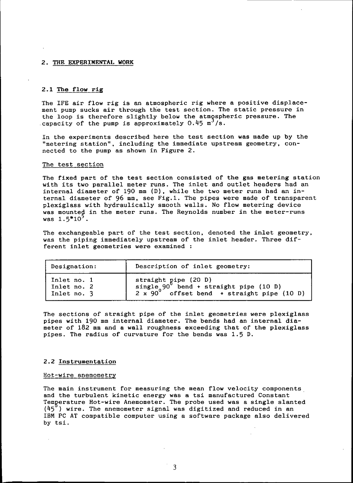#### 2. THE EXPERIMENTAL WORK

# 2.1 The flow rig

The IFE air flow rig is an atmospheric rig where a positive displacement pump sucks air through the test section. The static pressure in the loop is therefore slightly below the atmospheric pressure. The capacity of the pump is approximately  $0.45$  m<sup>3</sup>/s.

In the experiments described here the test section was made up by the "metering station". including the immediate upstream geometry. connected to the pump as shown in Figure 2.

#### The test section

The fixed part of the test section consisted of the gas metering station with its two parallel meter runs. The inlet and outlet headers had an internal diameter of 190 mm (D). while the two meter runs had an internal diameter of 96 mm, see Fig.1. The pipes were made of transparent plexiglass with hydraulically smooth walls. No flow metering device was mounted in the meter runs. The Reynolds number in the meter-runs was  $1.5*10^5$ .

The exchangeable part of the test section. denoted the inlet geometry. was the piping immediately upstream of the inlet header. Three different inlet geometries were examined :

| Designation:                              | Description of inlet geometry:                                                                                                       |
|-------------------------------------------|--------------------------------------------------------------------------------------------------------------------------------------|
| Inlet no. 1<br>Inlet no. 2<br>Inlet no. 3 | straight pipe (20 D)<br>single 90 <sup>0</sup> bend + straight pipe (10 D)<br>2 x 90 <sup>0</sup> offset bend + straight pipe (10 D) |

The sections of straight pipe of the inlet geometries were plexiglass pipes with 190 mm internal diameter. The bends had an internal diameter of 182 mm and a wall roughness exceeding that of the plexiglass pipes. The radius of curvature for the bends was 1.5 D.

#### 2.2 Instrumentation

#### Hot-wire anemometry

The main instrument for measuring the mean flow velocity components and the turbulent kinetic energy was a tsi manufactured Constant Temperature Hot-wire Anemometer. The probe used was a single slante  $(45<sup>o</sup>)$  wire. The anemometer signal was digitized and reduced in an IBM PC AT compatible computer using a software package also delivered by tsi.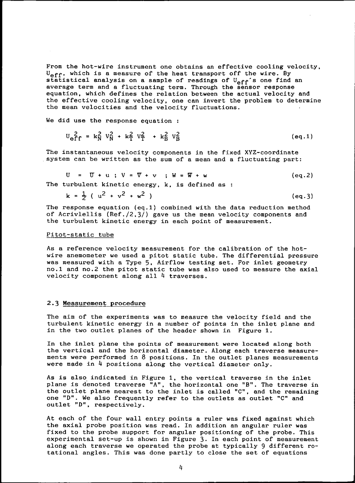From the hot-wire instrument one obtains an effective cooling velocity.  $U_{eff}$ , which is a measure of the heat transport off the wire. By statistical analysis on a sample of readings of  $U_{eff}$ 's one find an average term and a fluctuating term. Through the sensor response equation. which defines the relation between the actual velocity and the effective cooling velocity. one can invert the problem to determine the mean velocities and the velocity fluctuations.

We did use the response equation :

$$
U_{\text{eff}}^2 = k_N^2 V_N^2 + k_T^2 V_T^2 + k_B^2 V_B^2
$$
 (eq.1)

The instantaneous velocity components in the fixed XYZ-coordinate system can be written as the sum of a mean and a fluctuating part:

$$
U = U + u ; V = \nabla + v ; W = \nabla + w
$$
 (eq.2)

The turbulent kinetic energy, k, is defined as :

$$
k = \frac{1}{2} (u^2 + v^2 + w^2)
$$
 (eq.3)

The response equation (eq.1) combined with the data reduction method of Acriviellis (Ref./2.3/) gave us the mean velocity components and the turbulent kinetic energy in each point of measurement.

#### Pitot-static tube

As a reference velocity measurement for the calibration of the hotwire anemometer we used a pitot static tube. The differential pressure was measured with a Type 5, Airflow testing set. For inlet geometry no.1 and no.2 the pitot static tube was also used to measure the axial velocity component along all 4 traverses.

#### 2.3 Measurement procedure

The aim of the experiments was to measure the velocity field and the turbulent kinetic energy in a number of points in the inlet plane and in the two outlet planes of the header shown in Figure 1.

In the inlet plane the points of measurement were located along both the vertical and the horizontal diameter. Along each traverse measurements were performed in 8 positions. In the outlet planes measurements were made in 4 positions along the vertical diameter only.

As is also indicated in Figure 1. the vertical traverse in the inlet As is also indicated in rigure 1, the vertical traverse in the fillet<br>plane is denoted traverse "A", the horizontal one "B". The traverse in the outlet plane nearest to the inlet is called "C", and the remaining one "0". We also frequently refer to the outlets as outlet "C" and outlet "D", respectively

At each of the four wall entry points a ruler was fixed against which the axial probe position was read. In addition an angular ruler was fixed to the probe support for angular positioning of the probe. This experimental set-up is shown in Figure 3. In each point of measurement along each traverse we operated the probe at typically 9 different rotational angles. This was done partly to close the set of equations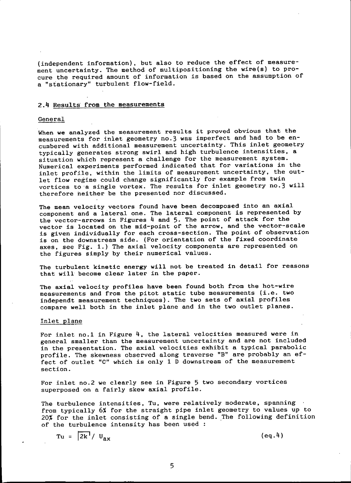(independent information), but also to reduce the effect of measurement uncertainty. The method of multipositioning the wire(s) to procure the required amount of information is based on the assumption of a "stationary" turbulent flow-field.

#### 2.4 Results' from the measurements

#### General

When we analyzed the measurement results it proved obvious that the measurements for inlet geometry no.3 was imperfect and had to be encumbered with additional measurement uncertainty. This inlet geometry typically generates strong swirl and high turbulence intensities. a situation which represent a challenge for the measurement system. Numerical experiments performed indicated that for variations in the inlet profile. within the limits of measurement uncertainty. the outlet flow regime could change significantly for example from twin vortices to'a single vortex. The results for inlet geometry no.3 will therefore neither be the presented nor discussed.

The mean velocity vectors found have been decomposed into an axial component and a lateral one. The lateral component is represented by the vector-arrows in Figures 4 and 5. The point of attack for the vector is located on the mid-point of the arrow. and the vector-scale is given individually for each cross-section. The point of observation is on the downstream side. (For orientation of the fixed coordinate axes, see Fig. 1.) The axial velocity components are represented on the figures simply by their numerical values.

The turbulent kinetic energy will not be treated in detail for reasons that will become clear later in the paper.

The axial velocity profiles have been found both from the hot-wire measurements and from the pitot static tube measurements (i.e. two independt measurement techniques). The two sets of axial profiles compare well both in the inlet plane and in the two outlet planes.

#### Inlet\_plane

For inlet no.1 in Figure 4. the lateral velocities measured were in general smaller than the measurement uncertainty and are not included in the presentation. The axial velocities exhibit a typical parabolic profile. The skewness observed along traverse "B" are probably an effect of outlet "C" which is only 1 D downstream of the measurement section.

For inlet no.2 we clearly see in Figure 5 two secondary vortices superposed on a fairly skew axial profile.

The turbulence intensities. Tu. were relatively moderate, spanning from typically 6% tor the straight pipe inlet geometry to values up to 20% for the inlet consisting of a single bend. The following definition of the turbulence intensity has been used :

$$
Tu = \left| \overline{2k^1} / U_{ax} \right| \qquad (eq.4)
$$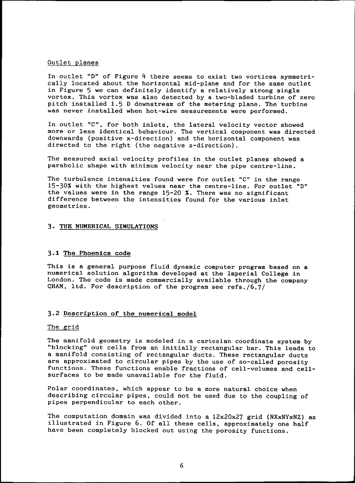# Outlet planes

In outlet "D" of Figure 4 there seems to exist two vortices symmetrically located about the horizontal mid-plane and for the same outlet in Figure 5 we can definitely identify a relatively strong single vortex. This vortex was also detected by a two-bladed turbine of zero pitch installed 1.5 D downstream of the metering plane. The turbine was never installed when hot-wire measurements were performed.

In outlet "C", for both inlets, the lateral velocity vector showed more or less identical behaviour. The vertical component was directed downwards (positive x-direction) and the horizontal component was directed to the right (the negative z-direction).

The measured axial velocity profiles in the outlet planes showed a parabolic shape with minimum velocity near the pipe centre-line.

The turbulence intensities found were for outlet "C" in the range  $15-30%$  with the highest values near the centre-line. For outlet "D" the values were in the range 15-20 %. There was no significant difference between the intensities found for the various inlet geometries.

## 3. THE NUMERICAL SIMULATIONS

## 3.1 The Phoenics code

This is a general purpose fluid dynamic computer program based on a numerical solution algorithm developed at the Imperial College in London. The code is made commercially available through the company QHAM, ltd. For description of the program see refs./6.7/

#### 3.2 Description of the numerical model

#### The grid

The manifold geometry is modeled in a cartesian coordinate system by "blocking" out cells from an initially rectangular bar. This leads to a manifold consisting of rectangular ducts. These rectangular ducts are approximated to circular pipes by the use of so-called porosity functions. These functions enable fractions of cell-volumes and cellsurfaces to be made unavailable for the fluid.

Polar coordinates. which appear to be a more natural choice when describing circular pipes, could not be used due to the coupling of pipes perpendicular to each other.

The computation domain was divided into a  $12x20x27$  grid (NXxNYxNZ) as illustrated in Figure 6. Of all these cells. approximately one half have been completely blocked out using the porosity functions.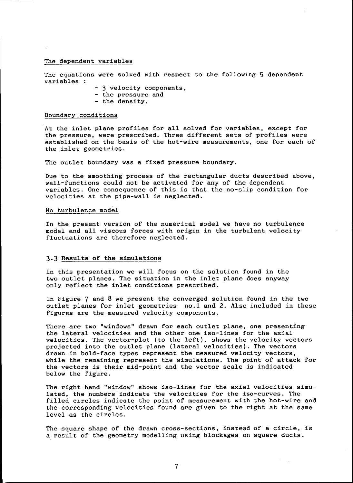#### The dependent variables

The equations were solved with respect to the following 5 dependent variables :

- 3 velocity components,
- the pressure and
- the density.

#### Boundary conditions

At the inlet plane profiles for all solved for variables, except for the pressure, were prescribed. Three different sets of profiles were established on the basis of the hot-wire measurements, one for each of the inlet geometries.

The outlet boundary was a fixed pressure boundary.

Due to the smoothing process of the rectangular ducts described above, wall-functions could not be activated for any of the dependent variables. One consequence of this is that the no-slip condition for velocities at the pipe-wall is neglected.

#### No turbulence model

In the present version of the numerical model we have no turbulence model and all viscous forces with origin in the turbulent velocity fluctuations are therefore neglected.

#### 3.3 Results of the simulations

In this presentation we will focus on the solution found in the two outlet planes. The situation in the inlet plane does anyway only reflect the inlet conditions prescribed.

In Figure 7 and 8 we present the converged solution found in the two outlet planes for inlet geometries no.l and 2. Also included in these figures are the measured velocity components.

There are two "windows" drawn for each outlet plane. one presenting the lateral velocities and the other one iso-lines for the axial velocities. The vector-plot (to the left), shows the velocity vectors projected into the outlet plane (lateral velocities). The vectors drawn in bold-face types represent the measured velocity vectors, while the remaining represent the simulations. The point of attack for the vectors is their mid-point and the vector scale is indicated below the figure.

The right hand "window" shows iso-lines for the axial velocities simulated. the numbers indicate the velocities for the iso-curves. The filled circles indicate the point of measurement with the hot-wire and the corresponding velocities found are given to the right at the same level as the circles.

The square shape of the drawn cross-sections, instead of a circle, is a result of the geometry modelling using blockages on square ducts.

7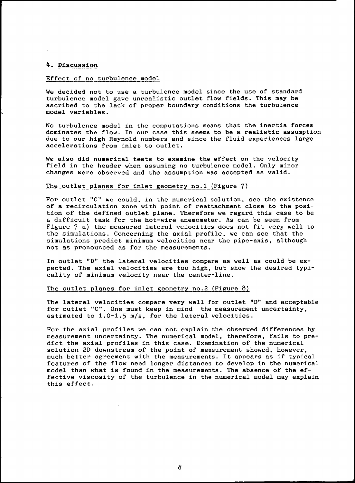#### 4. Discussion

## Effect of no turbulence model

We decided not to use a turbulence model since the use of standard turbulence model gave unrealistic outlet flow fields. This may be ascribed to the lack of proper boundary conditions the turbulence model variables.

No turbulence model in the computations means that the inertia forces dominates the flow. In our case this seems to be a realistic assumption due to our high Reynold numbers and since the fluid experiences large accelerations from inlet to outlet.

We also did numerical tests to examine the effect on the velocity field in the header when assuming no turbulence model. Only minor changes were observed and the assumption was accepted as valid.

#### The outlet planes for inlet geometry no.1 (Figure  $7$ )

For outlet "C" we could, in the numerical solution, see the existence of a recirculation zone with point of reattachment close to the position of the defined outlet plane. Therefore we regard this case to be a difficult task for the hot-wire anemometer. As can be seen from Figure 7 a) the measured lateral velocities does not fit very well to the simulations. Concerning the axial profile. we can see that the simulations predict minimum velocities near the pipe-axis. although not as pronounced as for the measurements.

In outlet "D" the lateral velocities compare as well as could be expected. The axial velocities are too high, but show the desired typicality of minimum velocity near the center-line.

#### The outlet planes for inlet geometry no.2 (Figure 8)

The lateral velocities compare very well for outlet "D" and acceptable for outlet "C". One must keep in mind the measurement uncertainty. estimated to 1.0-1.5 *m/s.* for the lateral velocities.

For the axial profiles we can not explain the observed differences by measurement uncertainty. The numerical model, therefore, fails to predict the axial profiles in this case. Examination of the numerical solution 2D downstream of the point of measurement showed, however, much better agreement with the measurements. It appears as if typical features of the flow need longer distances to develop in the numerical model than what is found in the measurements. The absence of the effective viscosity of the turbulence in the numerical model may explain this effect.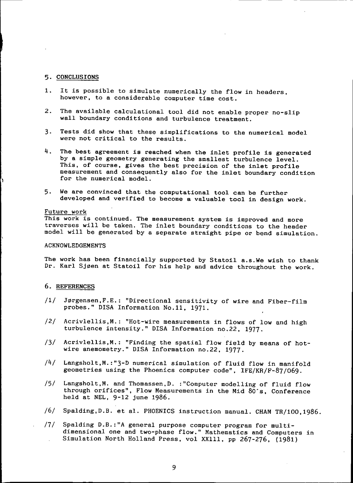#### 5. CONCLUSIONS

- 1. It is possible to simulate numerically the flow in headers, however, to a considerable computer time cost.
- 2. The available calculational tool did not enable proper no-slip wall boundary conditions and turbulence treatment.
- 3. Tests did show that these simplifications to the numerical model were not critical to the results.
- 4. The best agreement is reached when the inlet profile is generated by a simple geometry generating the smallest turbulence level. This, of course, gives the best precision of the inlet profile measurement and consequently also for the inlet boundary condition for the numerical model.
- 5. We are convinced that the computational tool can be further developed and verified to become a valuable tool in design work.

#### Future work

This work is continued. The measurement system is improved and more traverses will be taken. The inlet boundary conditions to the header model will be generated by a separate straight pipe or bend simulation.

# ACKNOWLEDGEMENTS

The work has been financially supported by Statoil a.s.We wish to thank Dr. Karl Sjøen at Statoil for his help and advice throughout the work.

# 6. REFERENCES

- /1/ J0rgensen,F.E.: "Directional sensitivity of wire and Fiber-film probes." OISA Information No.11. 1971.
- /2/ Acrivlellis,M.: "Hot-wire measurements in flows of low and high turbulence intensity." DISA Information no.22, 1977.
- /3/ Acrivlellis.M.: "Finding the spatial flow field by means of hotwire anemometry." OISA Information no.22, 1977.
- /4/ Langsholt.M.:"3-D numerical simulation of fluid flow in manifold geometries using the Phoenics computer code", IFE/KR/F-87/069
- /5/ Langsholt,M. and Thomassen,O. :"Computer modelling of fluid flow through orifices", Flow Measurements in the Mid 80·s. Conference held at NEL, 9-12 june 1986.
- /6/ Spalding,D.S. et al. PHOENICS instruction manual. CHAM TR/100.1986.
- /7/ Spalding  $D.B.: "A general purpose computer program for multi$ dimensional one and two-phase flow." Mathematics and Computers in Simulation North Holland Press, vol XXIII, pp 267-276, (1981)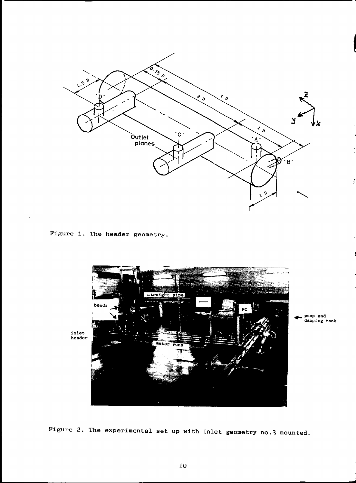

Figure 1. The header geometry.



... pump and damping tank

Figure 2. The experimental set up with inlet geometry no.3 mounted.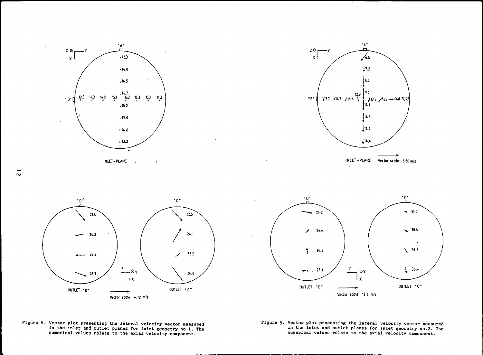



 $\lambda$ 







Figure 4. Vector plot presenting the lateral velocity vector measured in the inlet and outlet planes for inlet geometry no.l. The numerical values relate to the axial velocity component.

Figure 5. Vector plot presenting the lateral velocity vector measured in the inlet and outlet planes for inlet geometry no.2. The numerical values relate to the axial velocity component.